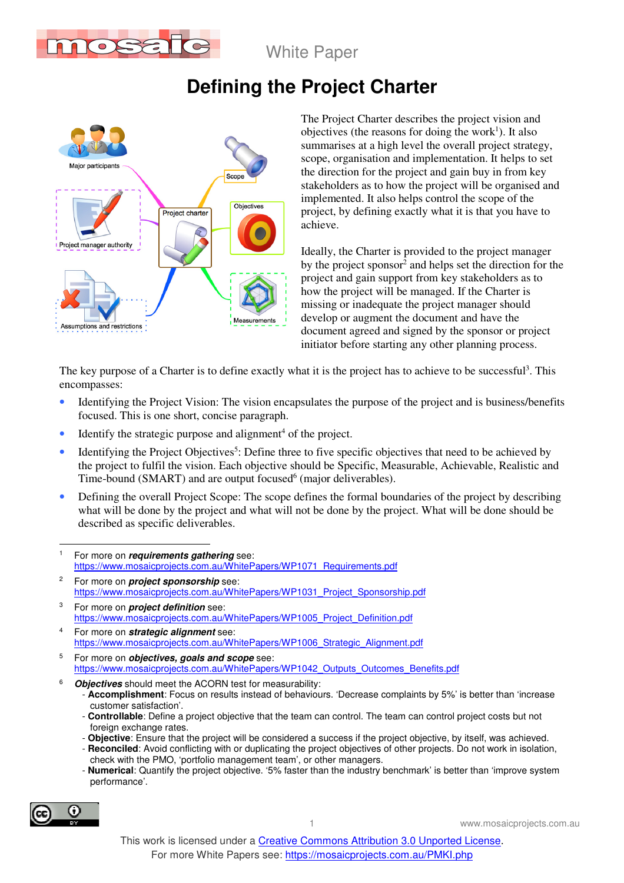

White Paper

# **Defining the Project Charter**



The Project Charter describes the project vision and objectives (the reasons for doing the work<sup>1</sup>). It also summarises at a high level the overall project strategy, scope, organisation and implementation. It helps to set the direction for the project and gain buy in from key stakeholders as to how the project will be organised and implemented. It also helps control the scope of the project, by defining exactly what it is that you have to achieve.

Ideally, the Charter is provided to the project manager by the project sponsor<sup>2</sup> and helps set the direction for the project and gain support from key stakeholders as to how the project will be managed. If the Charter is missing or inadequate the project manager should develop or augment the document and have the document agreed and signed by the sponsor or project initiator before starting any other planning process.

The key purpose of a Charter is to define exactly what it is the project has to achieve to be successful<sup>3</sup>. This encompasses:

- Identifying the Project Vision: The vision encapsulates the purpose of the project and is business/benefits focused. This is one short, concise paragraph.
- $\bullet$  Identify the strategic purpose and alignment<sup>4</sup> of the project.
- Identifying the Project Objectives<sup>5</sup>: Define three to five specific objectives that need to be achieved by the project to fulfil the vision. Each objective should be Specific, Measurable, Achievable, Realistic and Time-bound (SMART) and are output focused $6$  (major deliverables).
- Defining the overall Project Scope: The scope defines the formal boundaries of the project by describing what will be done by the project and what will not be done by the project. What will be done should be described as specific deliverables.
- $\overline{a}$ 1 For more on **requirements gathering** see: https://www.mosaicprojects.com.au/WhitePapers/WP1071\_Requirements.pdf
- 2 For more on **project sponsorship** see: https://www.mosaicprojects.com.au/WhitePapers/WP1031\_Project\_Sponsorship.pdf
- 3 For more on **project definition** see: https://www.mosaicprojects.com.au/WhitePapers/WP1005\_Project\_Definition.pdf
- 4 For more on **strategic alignment** see: https://www.mosaicprojects.com.au/WhitePapers/WP1006\_Strategic\_Alignment.pdf
- 5 For more on **objectives, goals and scope** see: https://www.mosaicprojects.com.au/WhitePapers/WP1042\_Outputs\_Outcomes\_Benefits.pdf
- 6 **Objectives** should meet the ACORN test for measurability:
	- **Accomplishment**: Focus on results instead of behaviours. 'Decrease complaints by 5%' is better than 'increase customer satisfaction'.
	- **Controllable**: Define a project objective that the team can control. The team can control project costs but not foreign exchange rates.
	- **Objective**: Ensure that the project will be considered a success if the project objective, by itself, was achieved.
	- **Reconciled**: Avoid conflicting with or duplicating the project objectives of other projects. Do not work in isolation, check with the PMO, 'portfolio management team', or other managers.
	- **Numerical**: Quantify the project objective. '5% faster than the industry benchmark' is better than 'improve system performance'.

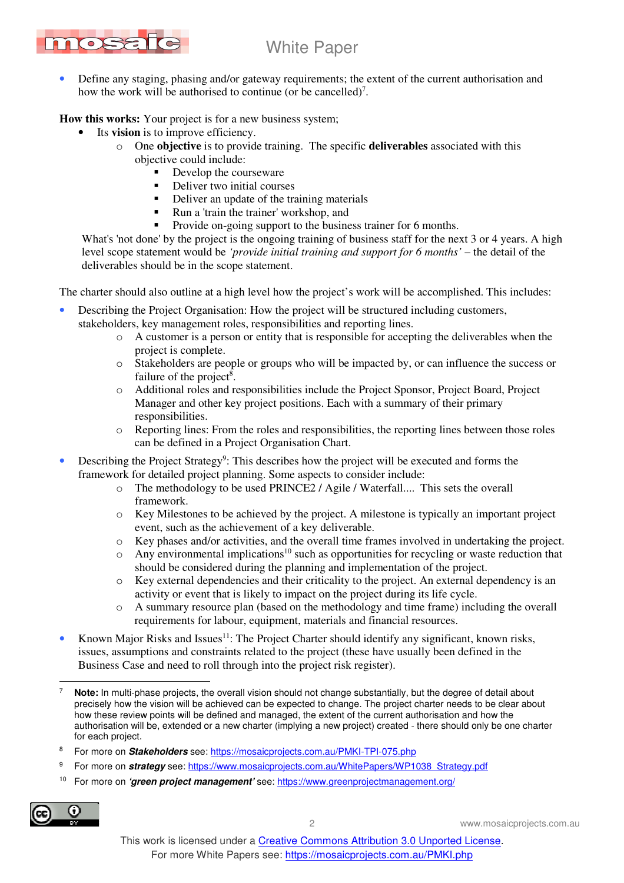

• Define any staging, phasing and/or gateway requirements; the extent of the current authorisation and how the work will be authorised to continue (or be cancelled)<sup>7</sup>.

**How this works:** Your project is for a new business system;

- Its **vision** is to improve efficiency.
	- o One **objective** is to provide training. The specific **deliverables** associated with this objective could include:
		- Develop the courseware
		- Deliver two initial courses
		- Deliver an update of the training materials
		- Run a 'train the trainer' workshop, and
		- Provide on-going support to the business trainer for 6 months.

What's 'not done' by the project is the ongoing training of business staff for the next 3 or 4 years. A high level scope statement would be *'provide initial training and support for 6 months'* – the detail of the deliverables should be in the scope statement.

The charter should also outline at a high level how the project's work will be accomplished. This includes:

- Describing the Project Organisation: How the project will be structured including customers, stakeholders, key management roles, responsibilities and reporting lines.
	- o A customer is a person or entity that is responsible for accepting the deliverables when the project is complete.
	- o Stakeholders are people or groups who will be impacted by, or can influence the success or failure of the project<sup>8</sup>.
	- o Additional roles and responsibilities include the Project Sponsor, Project Board, Project Manager and other key project positions. Each with a summary of their primary responsibilities.
	- o Reporting lines: From the roles and responsibilities, the reporting lines between those roles can be defined in a Project Organisation Chart.
- Describing the Project Strategy<sup>9</sup>: This describes how the project will be executed and forms the framework for detailed project planning. Some aspects to consider include:
	- o The methodology to be used PRINCE2 / Agile / Waterfall.... This sets the overall framework.
	- $\circ$  Key Milestones to be achieved by the project. A milestone is typically an important project event, such as the achievement of a key deliverable.
	- o Key phases and/or activities, and the overall time frames involved in undertaking the project.
	- $\circ$  Any environmental implications<sup>10</sup> such as opportunities for recycling or waste reduction that should be considered during the planning and implementation of the project.
	- $\circ$  Key external dependencies and their criticality to the project. An external dependency is an activity or event that is likely to impact on the project during its life cycle.
	- o A summary resource plan (based on the methodology and time frame) including the overall requirements for labour, equipment, materials and financial resources.
- Known Major Risks and Issues<sup>11</sup>: The Project Charter should identify any significant, known risks, issues, assumptions and constraints related to the project (these have usually been defined in the Business Case and need to roll through into the project risk register).

10 For more on **'green project management'** see: https://www.greenprojectmanagement.org/



2 www.mosaicprojects.com.au

 $\overline{a}$ 7 **Note:** In multi-phase projects, the overall vision should not change substantially, but the degree of detail about precisely how the vision will be achieved can be expected to change. The project charter needs to be clear about how these review points will be defined and managed, the extent of the current authorisation and how the authorisation will be, extended or a new charter (implying a new project) created - there should only be one charter for each project.

<sup>8</sup> For more on **Stakeholders** see: https://mosaicprojects.com.au/PMKI-TPI-075.php

<sup>9</sup> For more on **strategy** see: https://www.mosaicprojects.com.au/WhitePapers/WP1038\_Strategy.pdf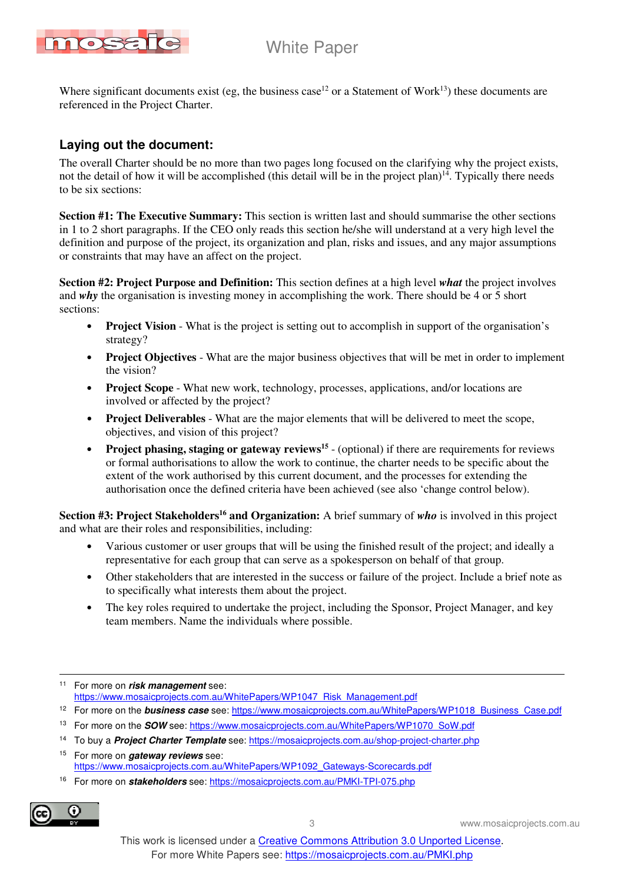



Where significant documents exist (eg, the business case<sup>12</sup> or a Statement of Work<sup>13</sup>) these documents are referenced in the Project Charter.

# **Laying out the document:**

The overall Charter should be no more than two pages long focused on the clarifying why the project exists, not the detail of how it will be accomplished (this detail will be in the project plan)<sup>14</sup>. Typically there needs to be six sections:

**Section #1: The Executive Summary:** This section is written last and should summarise the other sections in 1 to 2 short paragraphs. If the CEO only reads this section he/she will understand at a very high level the definition and purpose of the project, its organization and plan, risks and issues, and any major assumptions or constraints that may have an affect on the project.

**Section #2: Project Purpose and Definition:** This section defines at a high level *what* the project involves and *why* the organisation is investing money in accomplishing the work. There should be 4 or 5 short sections:

- **Project Vision** What is the project is setting out to accomplish in support of the organisation's strategy?
- **Project Objectives** What are the major business objectives that will be met in order to implement the vision?
- **Project Scope** What new work, technology, processes, applications, and/or locations are involved or affected by the project?
- **Project Deliverables** What are the major elements that will be delivered to meet the scope, objectives, and vision of this project?
- **Project phasing, staging or gateway reviews<sup>15</sup>** (optional) if there are requirements for reviews or formal authorisations to allow the work to continue, the charter needs to be specific about the extent of the work authorised by this current document, and the processes for extending the authorisation once the defined criteria have been achieved (see also 'change control below).

**Section #3: Project Stakeholders<sup>16</sup> and Organization:** A brief summary of *who* is involved in this project and what are their roles and responsibilities, including:

- Various customer or user groups that will be using the finished result of the project; and ideally a representative for each group that can serve as a spokesperson on behalf of that group.
- Other stakeholders that are interested in the success or failure of the project. Include a brief note as to specifically what interests them about the project.
- The key roles required to undertake the project, including the Sponsor, Project Manager, and key team members. Name the individuals where possible.

- <sup>12</sup> For more on the **business case** see: https://www.mosaicprojects.com.au/WhitePapers/WP1018\_Business\_Case.pdf
- <sup>13</sup> For more on the **SOW** see: https://www.mosaicprojects.com.au/WhitePapers/WP1070\_SoW.pdf
- <sup>14</sup> To buy a **Project Charter Template** see: https://mosaicprojects.com.au/shop-project-charter.php

16 For more on **stakeholders** see: https://mosaicprojects.com.au/PMKI-TPI-075.php



3 www.mosaicprojects.com.au

 $\overline{a}$ <sup>11</sup> For more on **risk management** see: https://www.mosaicprojects.com.au/WhitePapers/WP1047\_Risk\_Management.pdf

<sup>15</sup> For more on **gateway reviews** see: https://www.mosaicprojects.com.au/WhitePapers/WP1092\_Gateways-Scorecards.pdf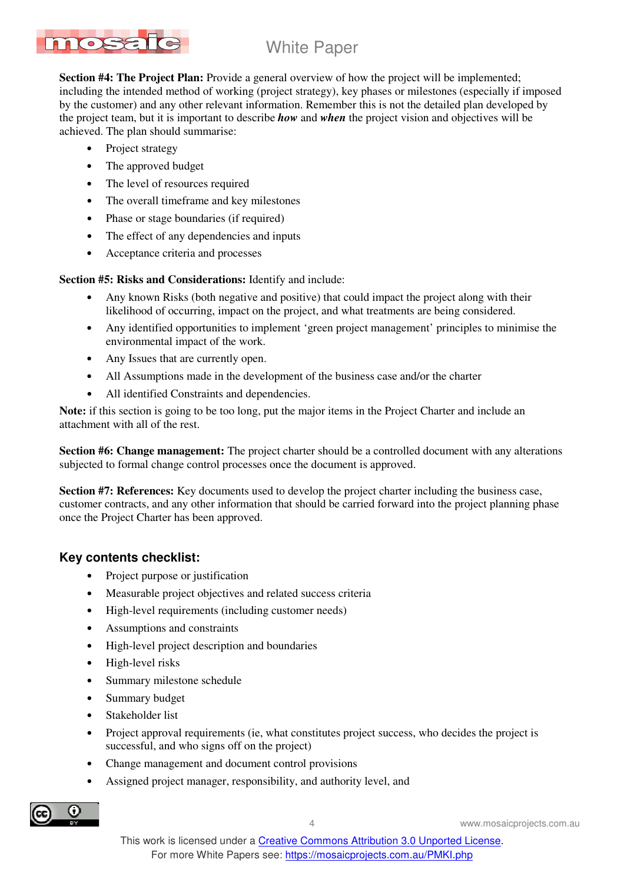

**Section #4: The Project Plan:** Provide a general overview of how the project will be implemented; including the intended method of working (project strategy), key phases or milestones (especially if imposed by the customer) and any other relevant information. Remember this is not the detailed plan developed by the project team, but it is important to describe *how* and *when* the project vision and objectives will be achieved. The plan should summarise:

- Project strategy
- The approved budget
- The level of resources required
- The overall timeframe and key milestones
- Phase or stage boundaries (if required)
- The effect of any dependencies and inputs
- Acceptance criteria and processes

**Section #5: Risks and Considerations:** Identify and include:

- Any known Risks (both negative and positive) that could impact the project along with their likelihood of occurring, impact on the project, and what treatments are being considered.
- Any identified opportunities to implement 'green project management' principles to minimise the environmental impact of the work.
- Any Issues that are currently open.
- All Assumptions made in the development of the business case and/or the charter
- All identified Constraints and dependencies.

**Note:** if this section is going to be too long, put the major items in the Project Charter and include an attachment with all of the rest.

**Section #6: Change management:** The project charter should be a controlled document with any alterations subjected to formal change control processes once the document is approved.

**Section #7: References:** Key documents used to develop the project charter including the business case, customer contracts, and any other information that should be carried forward into the project planning phase once the Project Charter has been approved.

## **Key contents checklist:**

- Project purpose or justification
- Measurable project objectives and related success criteria
- High-level requirements (including customer needs)
- Assumptions and constraints
- High-level project description and boundaries
- High-level risks
- Summary milestone schedule
- Summary budget
- Stakeholder list
- Project approval requirements (ie, what constitutes project success, who decides the project is successful, and who signs off on the project)
- Change management and document control provisions
- Assigned project manager, responsibility, and authority level, and